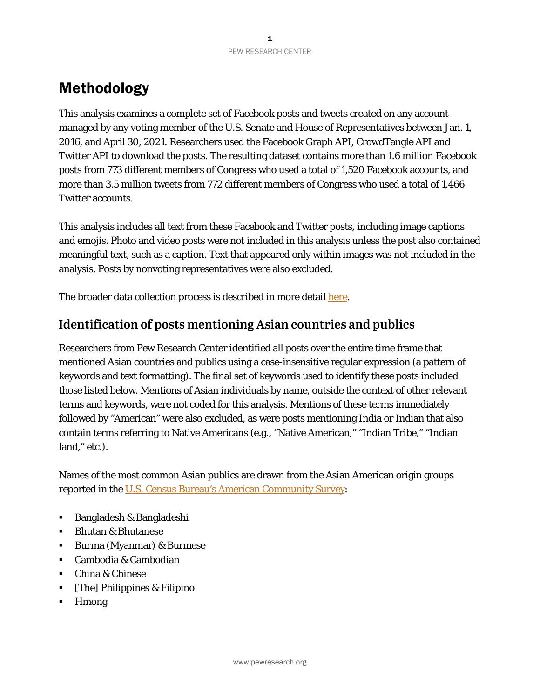## Methodology

This analysis examines a complete set of Facebook posts and tweets created on any account managed by any voting member of the U.S. Senate and House of Representatives between Jan. 1, 2016, and April 30, 2021. Researchers used the Facebook Graph API, CrowdTangle API and Twitter API to download the posts. The resulting dataset contains more than 1.6 million Facebook posts from 773 different members of Congress who used a total of 1,520 Facebook accounts, and more than 3.5 million tweets from 772 different members of Congress who used a total of 1,466 Twitter accounts.

This analysis includes all text from these Facebook and Twitter posts, including image captions and emojis. Photo and video posts were not included in this analysis unless the post also contained meaningful text, such as a caption. Text that appeared only within images was not included in the analysis. Posts by nonvoting representatives were also excluded.

The broader data collection process is described in more detail [here.](https://www.pewresearch.org/internet/2020/07/16/methodology-185/)

## **Identification of posts mentioning Asian countries and publics**

Researchers from Pew Research Center identified all posts over the entire time frame that mentioned Asian countries and publics using a case-insensitive regular expression (a pattern of keywords and text formatting). The final set of keywords used to identify these posts included those listed below. Mentions of Asian individuals by name, outside the context of other relevant terms and keywords, were not coded for this analysis. Mentions of these terms immediately followed by "American" were also excluded, as were posts mentioning India or Indian that also contain terms referring to Native Americans (e.g., "Native American," "Indian Tribe," "Indian land," etc.).

Names of the most common Asian publics are drawn from the Asian American origin groups reported in the [U.S. Census Bureau's American Community Survey:](https://data.census.gov/cedsci/table?q=B02018&tid=ACSDT1Y2019.B02018)

- Bangladesh & Bangladeshi
- **Bhutan & Bhutanese**
- Burma (Myanmar) & Burmese
- Cambodia & Cambodian
- China & Chinese
- [The] Philippines & Filipino
- Hmong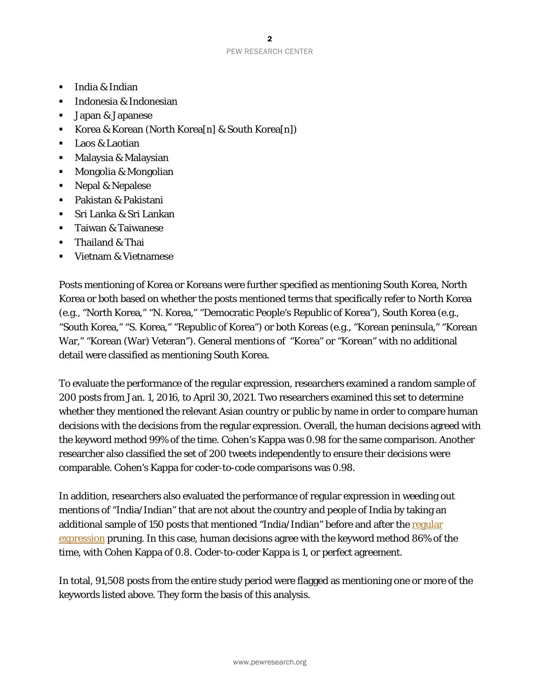## PEW RESEARCH CENTER

- $\blacksquare$  India & Indian
- $\blacksquare$  Indonesia & Indonesian
- **Japan & Japanese**
- Korea & Korean (North Korea[n] & South Korea[n])
- Laos & Laotian
- Malaysia & Malaysian
- Mongolia & Mongolian
- **Nepal & Nepalese**
- Pakistan & Pakistani
- Sri Lanka & Sri Lankan
- **Taiwan & Taiwanese**
- Thailand & Thai
- Vietnam & Vietnamese

Posts mentioning of Korea or Koreans were further specified as mentioning South Korea, North Korea or both based on whether the posts mentioned terms that specifically refer to North Korea (e.g., "North Korea," "N. Korea," "Democratic People's Republic of Korea"), South Korea (e.g., "South Korea," "S. Korea," "Republic of Korea") or both Koreas (e.g., "Korean peninsula," "Korean War," "Korean (War) Veteran"). General mentions of "Korea" or "Korean" with no additional detail were classified as mentioning South Korea.

To evaluate the performance of the regular expression, researchers examined a random sample of 200 posts from Jan. 1, 2016, to April 30, 2021. Two researchers examined this set to determine whether they mentioned the relevant Asian country or public by name in order to compare human decisions with the decisions from the regular expression. Overall, the human decisions agreed with the keyword method 99% of the time. Cohen's Kappa was 0.98 for the same comparison. Another researcher also classified the set of 200 tweets independently to ensure their decisions were comparable. Cohen's Kappa for coder-to-code comparisons was 0.98.

In addition, researchers also evaluated the performance of regular expression in weeding out mentions of "India/Indian" that are not about the country and people of India by taking an additional sample of 150 posts that mentioned "India/Indian" before and after the regular [expression](https://cran.r-project.org/web/packages/stringr/vignettes/regular-expressions.html) pruning. In this case, human decisions agree with the keyword method 86% of the time, with Cohen Kappa of 0.8. Coder-to-coder Kappa is 1, or perfect agreement.

In total, 91,508 posts from the entire study period were flagged as mentioning one or more of the keywords listed above. They form the basis of this analysis.